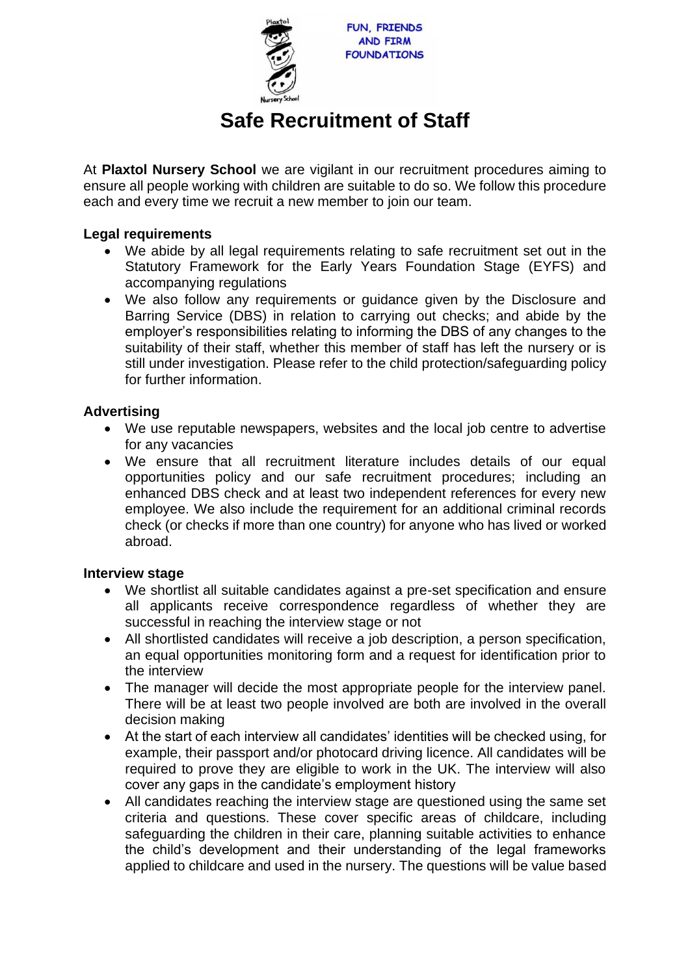

# **Safe Recruitment of Staff**

At **Plaxtol Nursery School** we are vigilant in our recruitment procedures aiming to ensure all people working with children are suitable to do so. We follow this procedure each and every time we recruit a new member to join our team.

## **Legal requirements**

- We abide by all legal requirements relating to safe recruitment set out in the Statutory Framework for the Early Years Foundation Stage (EYFS) and accompanying regulations
- We also follow any requirements or guidance given by the Disclosure and Barring Service (DBS) in relation to carrying out checks; and abide by the employer's responsibilities relating to informing the DBS of any changes to the suitability of their staff, whether this member of staff has left the nursery or is still under investigation. Please refer to the child protection/safeguarding policy for further information.

## **Advertising**

- We use reputable newspapers, websites and the local job centre to advertise for any vacancies
- We ensure that all recruitment literature includes details of our equal opportunities policy and our safe recruitment procedures; including an enhanced DBS check and at least two independent references for every new employee. We also include the requirement for an additional criminal records check (or checks if more than one country) for anyone who has lived or worked abroad.

#### **Interview stage**

- We shortlist all suitable candidates against a pre-set specification and ensure all applicants receive correspondence regardless of whether they are successful in reaching the interview stage or not
- All shortlisted candidates will receive a job description, a person specification, an equal opportunities monitoring form and a request for identification prior to the interview
- The manager will decide the most appropriate people for the interview panel. There will be at least two people involved are both are involved in the overall decision making
- At the start of each interview all candidates' identities will be checked using, for example, their passport and/or photocard driving licence. All candidates will be required to prove they are eligible to work in the UK. The interview will also cover any gaps in the candidate's employment history
- All candidates reaching the interview stage are questioned using the same set criteria and questions. These cover specific areas of childcare, including safeguarding the children in their care, planning suitable activities to enhance the child's development and their understanding of the legal frameworks applied to childcare and used in the nursery. The questions will be value based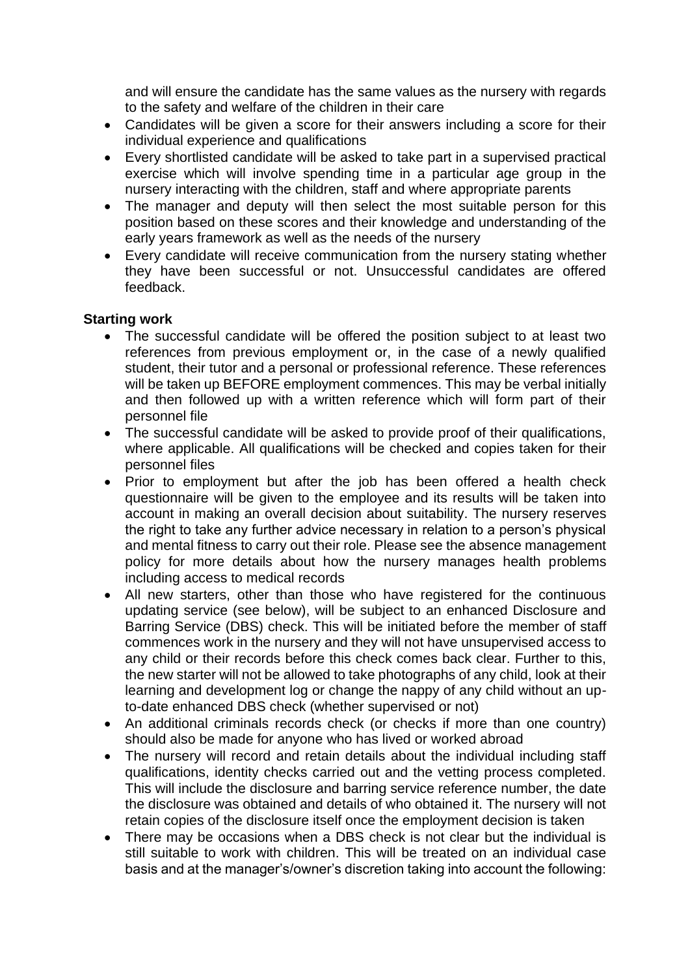and will ensure the candidate has the same values as the nursery with regards to the safety and welfare of the children in their care

- Candidates will be given a score for their answers including a score for their individual experience and qualifications
- Every shortlisted candidate will be asked to take part in a supervised practical exercise which will involve spending time in a particular age group in the nursery interacting with the children, staff and where appropriate parents
- The manager and deputy will then select the most suitable person for this position based on these scores and their knowledge and understanding of the early years framework as well as the needs of the nursery
- Every candidate will receive communication from the nursery stating whether they have been successful or not. Unsuccessful candidates are offered feedback.

## **Starting work**

- The successful candidate will be offered the position subject to at least two references from previous employment or, in the case of a newly qualified student, their tutor and a personal or professional reference. These references will be taken up BEFORE employment commences. This may be verbal initially and then followed up with a written reference which will form part of their personnel file
- The successful candidate will be asked to provide proof of their qualifications, where applicable. All qualifications will be checked and copies taken for their personnel files
- Prior to employment but after the job has been offered a health check questionnaire will be given to the employee and its results will be taken into account in making an overall decision about suitability. The nursery reserves the right to take any further advice necessary in relation to a person's physical and mental fitness to carry out their role. Please see the absence management policy for more details about how the nursery manages health problems including access to medical records
- All new starters, other than those who have registered for the continuous updating service (see below), will be subject to an enhanced Disclosure and Barring Service (DBS) check. This will be initiated before the member of staff commences work in the nursery and they will not have unsupervised access to any child or their records before this check comes back clear. Further to this, the new starter will not be allowed to take photographs of any child, look at their learning and development log or change the nappy of any child without an upto-date enhanced DBS check (whether supervised or not)
- An additional criminals records check (or checks if more than one country) should also be made for anyone who has lived or worked abroad
- The nursery will record and retain details about the individual including staff qualifications, identity checks carried out and the vetting process completed. This will include the disclosure and barring service reference number, the date the disclosure was obtained and details of who obtained it. The nursery will not retain copies of the disclosure itself once the employment decision is taken
- There may be occasions when a DBS check is not clear but the individual is still suitable to work with children. This will be treated on an individual case basis and at the manager's/owner's discretion taking into account the following: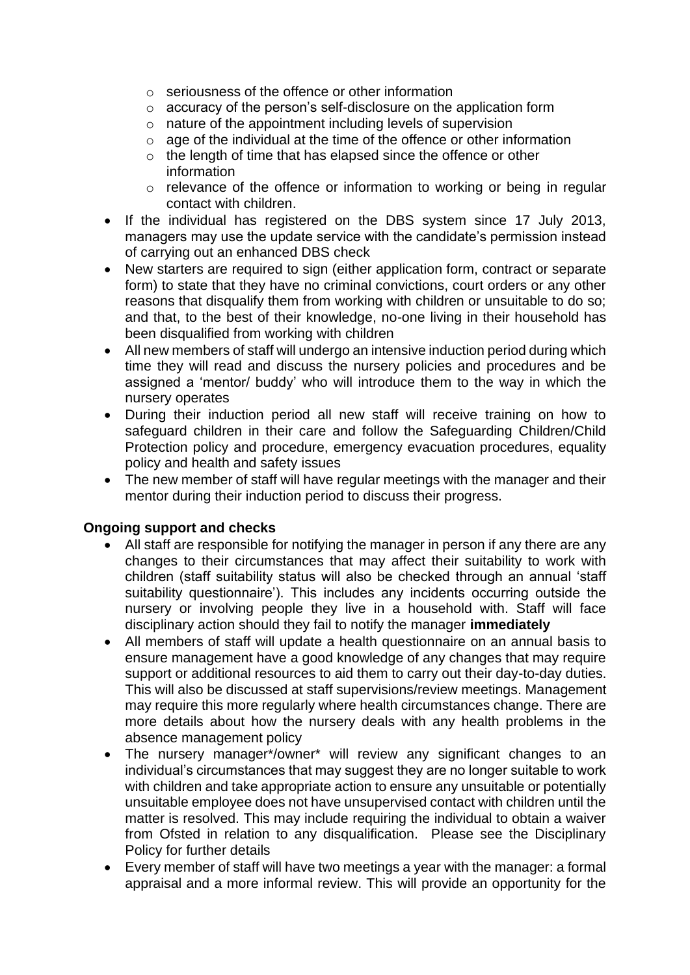- $\circ$  seriousness of the offence or other information
- o accuracy of the person's self-disclosure on the application form
- o nature of the appointment including levels of supervision
- o age of the individual at the time of the offence or other information
- o the length of time that has elapsed since the offence or other information
- o relevance of the offence or information to working or being in regular contact with children.
- If the individual has registered on the DBS system since 17 July 2013, managers may use the update service with the candidate's permission instead of carrying out an enhanced DBS check
- New starters are required to sign (either application form, contract or separate form) to state that they have no criminal convictions, court orders or any other reasons that disqualify them from working with children or unsuitable to do so; and that, to the best of their knowledge, no-one living in their household has been disqualified from working with children
- All new members of staff will undergo an intensive induction period during which time they will read and discuss the nursery policies and procedures and be assigned a 'mentor/ buddy' who will introduce them to the way in which the nursery operates
- During their induction period all new staff will receive training on how to safeguard children in their care and follow the Safeguarding Children/Child Protection policy and procedure, emergency evacuation procedures, equality policy and health and safety issues
- The new member of staff will have regular meetings with the manager and their mentor during their induction period to discuss their progress.

# **Ongoing support and checks**

- All staff are responsible for notifying the manager in person if any there are any changes to their circumstances that may affect their suitability to work with children (staff suitability status will also be checked through an annual 'staff suitability questionnaire'). This includes any incidents occurring outside the nursery or involving people they live in a household with. Staff will face disciplinary action should they fail to notify the manager **immediately**
- All members of staff will update a health questionnaire on an annual basis to ensure management have a good knowledge of any changes that may require support or additional resources to aid them to carry out their day-to-day duties. This will also be discussed at staff supervisions/review meetings. Management may require this more regularly where health circumstances change. There are more details about how the nursery deals with any health problems in the absence management policy
- The nursery manager\*/owner\* will review any significant changes to an individual's circumstances that may suggest they are no longer suitable to work with children and take appropriate action to ensure any unsuitable or potentially unsuitable employee does not have unsupervised contact with children until the matter is resolved. This may include requiring the individual to obtain a waiver from Ofsted in relation to any disqualification. Please see the Disciplinary Policy for further details
- Every member of staff will have two meetings a year with the manager: a formal appraisal and a more informal review. This will provide an opportunity for the